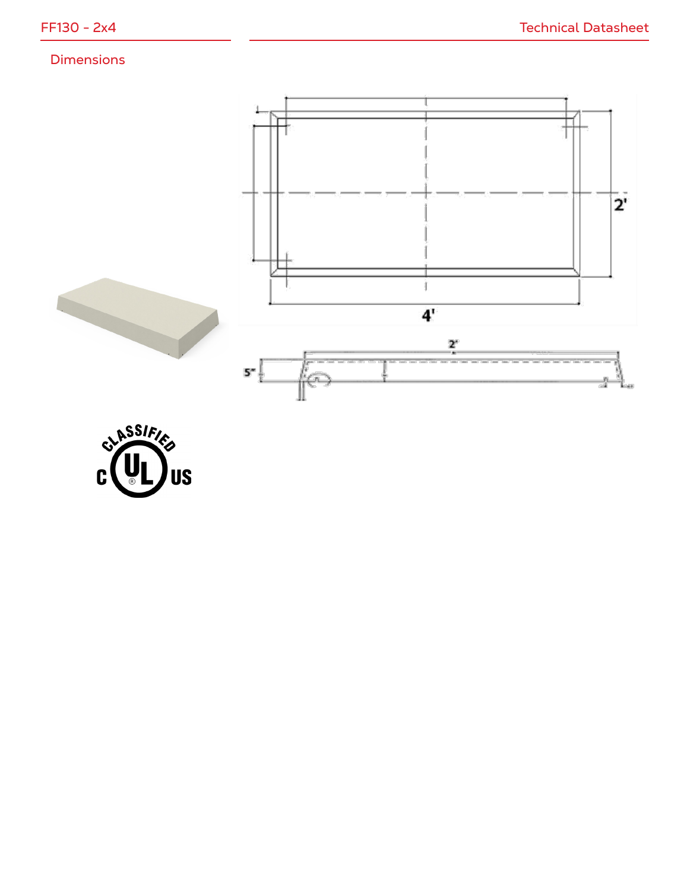## Dimensions



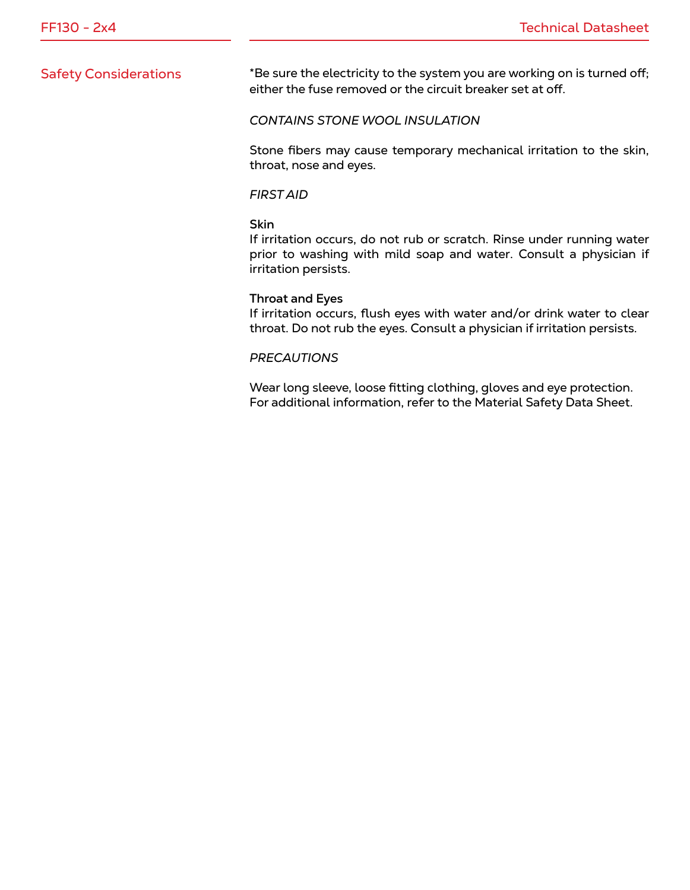Safety Considerations \*Be sure the electricity to the system you are working on is turned off; either the fuse removed or the circuit breaker set at off.

### *CONTAINS STONE WOOL INSULATION*

Stone fibers may cause temporary mechanical irritation to the skin, throat, nose and eyes.

### *FIRST AID*

### **Skin**

If irritation occurs, do not rub or scratch. Rinse under running water prior to washing with mild soap and water. Consult a physician if irritation persists.

#### **Throat and Eyes**

If irritation occurs, flush eyes with water and/or drink water to clear throat. Do not rub the eyes. Consult a physician if irritation persists.

### *PRECAUTIONS*

Wear long sleeve, loose fitting clothing, gloves and eye protection. For additional information, refer to the Material Safety Data Sheet.